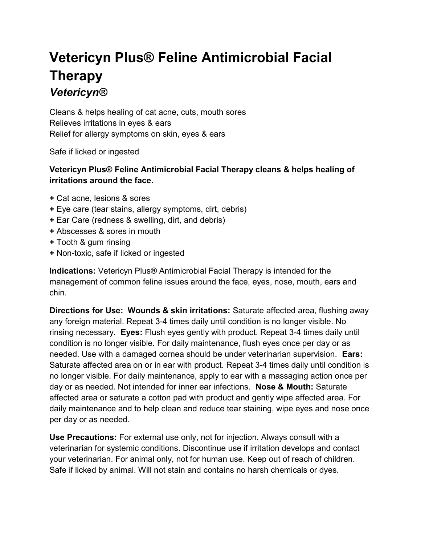## Vetericyn Plus® Feline Antimicrobial Facial Therapy **Vetericyn®**

Cleans & helps healing of cat acne, cuts, mouth sores Relieves irritations in eyes & ears Relief for allergy symptoms on skin, eyes & ears

Safe if licked or ingested

## Vetericyn Plus® Feline Antimicrobial Facial Therapy cleans & helps healing of irritations around the face.

- + Cat acne, lesions & sores
- + Eye care (tear stains, allergy symptoms, dirt, debris)
- + Ear Care (redness & swelling, dirt, and debris)
- + Abscesses & sores in mouth
- + Tooth & gum rinsing
- + Non-toxic, safe if licked or ingested

Indications: Vetericyn Plus® Antimicrobial Facial Therapy is intended for the management of common feline issues around the face, eyes, nose, mouth, ears and chin.

Directions for Use: Wounds & skin irritations: Saturate affected area, flushing away any foreign material. Repeat 3-4 times daily until condition is no longer visible. No rinsing necessary. Eyes: Flush eyes gently with product. Repeat 3-4 times daily until condition is no longer visible. For daily maintenance, flush eyes once per day or as needed. Use with a damaged cornea should be under veterinarian supervision. Ears: Saturate affected area on or in ear with product. Repeat 3-4 times daily until condition is no longer visible. For daily maintenance, apply to ear with a massaging action once per day or as needed. Not intended for inner ear infections. Nose & Mouth: Saturate affected area or saturate a cotton pad with product and gently wipe affected area. For daily maintenance and to help clean and reduce tear staining, wipe eyes and nose once per day or as needed.

Use Precautions: For external use only, not for injection. Always consult with a veterinarian for systemic conditions. Discontinue use if irritation develops and contact your veterinarian. For animal only, not for human use. Keep out of reach of children. Safe if licked by animal. Will not stain and contains no harsh chemicals or dyes.